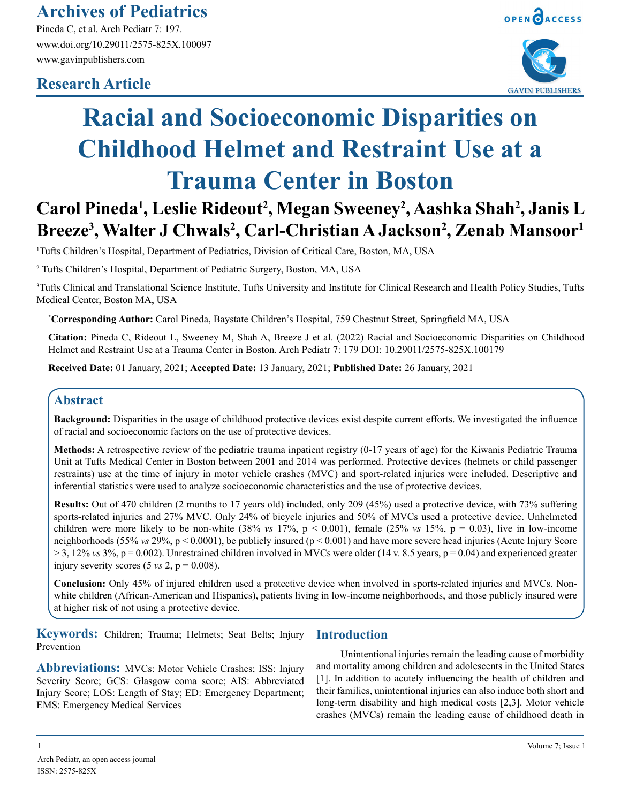# **Archives of Pediatrics**

Pineda C, et al. Arch Pediatr 7: 197. www.doi.org/10.29011/2575-825X.100097 www.gavinpublishers.com

# **Research Article**





# **Racial and Socioeconomic Disparities on Childhood Helmet and Restraint Use at a Trauma Center in Boston**

# **Carol Pineda1 , Leslie Rideout2 , Megan Sweeney2 , Aashka Shah2 , Janis L**  Breeze<sup>3</sup>, Walter J Chwals<sup>2</sup>, Carl-Christian A Jackson<sup>2</sup>, Zenab Mansoor<sup>1</sup>

1 Tufts Children's Hospital, Department of Pediatrics, Division of Critical Care, Boston, MA, USA

2 Tufts Children's Hospital, Department of Pediatric Surgery, Boston, MA, USA

3 Tufts Clinical and Translational Science Institute, Tufts University and Institute for Clinical Research and Health Policy Studies, Tufts Medical Center, Boston MA, USA

**\* Corresponding Author:** Carol Pineda, Baystate Children's Hospital, 759 Chestnut Street, Springfield MA, USA

**Citation:** Pineda C, Rideout L, Sweeney M, Shah A, Breeze J et al. (2022) Racial and Socioeconomic Disparities on Childhood Helmet and Restraint Use at a Trauma Center in Boston. Arch Pediatr 7: 179 DOI: 10.29011/2575-825X.100179

**Received Date:** 01 January, 2021; **Accepted Date:** 13 January, 2021; **Published Date:** 26 January, 2021

# **Abstract**

**Background:** Disparities in the usage of childhood protective devices exist despite current efforts. We investigated the influence of racial and socioeconomic factors on the use of protective devices.

**Methods:** A retrospective review of the pediatric trauma inpatient registry (0-17 years of age) for the Kiwanis Pediatric Trauma Unit at Tufts Medical Center in Boston between 2001 and 2014 was performed. Protective devices (helmets or child passenger restraints) use at the time of injury in motor vehicle crashes (MVC) and sport-related injuries were included. Descriptive and inferential statistics were used to analyze socioeconomic characteristics and the use of protective devices.

**Results:** Out of 470 children (2 months to 17 years old) included, only 209 (45%) used a protective device, with 73% suffering sports-related injuries and 27% MVC. Only 24% of bicycle injuries and 50% of MVCs used a protective device. Unhelmeted children were more likely to be non-white  $(38\% \text{ vs } 17\%, \text{ p} < 0.001)$ , female  $(25\% \text{ vs } 15\%, \text{ p} = 0.03)$ , live in low-income neighborhoods (55% *vs* 29%, p < 0.0001), be publicly insured (p < 0.001) and have more severe head injuries (Acute Injury Score  $> 3$ , 12% *vs* 3%,  $p = 0.002$ ). Unrestrained children involved in MVCs were older (14 v. 8.5 years,  $p = 0.04$ ) and experienced greater injury severity scores  $(5 \text{ vs } 2, \text{ p } = 0.008)$ .

**Conclusion:** Only 45% of injured children used a protective device when involved in sports-related injuries and MVCs. Nonwhite children (African-American and Hispanics), patients living in low-income neighborhoods, and those publicly insured were at higher risk of not using a protective device.

**Keywords:** Children; Trauma; Helmets; Seat Belts; Injury Prevention

**Abbreviations:** MVCs: Motor Vehicle Crashes; ISS: Injury Severity Score; GCS: Glasgow coma score; AIS: Abbreviated Injury Score; LOS: Length of Stay; ED: Emergency Department; EMS: Emergency Medical Services

## **Introduction**

Unintentional injuries remain the leading cause of morbidity and mortality among children and adolescents in the United States [1]. In addition to acutely influencing the health of children and their families, unintentional injuries can also induce both short and long-term disability and high medical costs [2,3]. Motor vehicle crashes (MVCs) remain the leading cause of childhood death in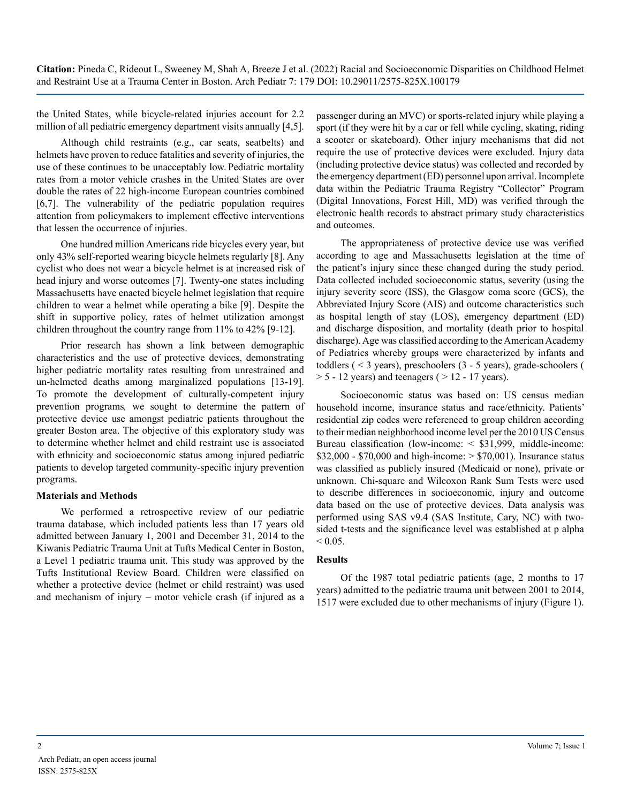the United States, while bicycle-related injuries account for 2.2 million of all pediatric emergency department visits annually [4,5].

Although child restraints (e.g., car seats, seatbelts) and helmets have proven to reduce fatalities and severity of injuries, the use of these continues to be unacceptably low. Pediatric mortality rates from a motor vehicle crashes in the United States are over double the rates of 22 high-income European countries combined [6,7]. The vulnerability of the pediatric population requires attention from policymakers to implement effective interventions that lessen the occurrence of injuries.

One hundred million Americans ride bicycles every year, but only 43% self-reported wearing bicycle helmets regularly [8]. Any cyclist who does not wear a bicycle helmet is at increased risk of head injury and worse outcomes [7]. Twenty-one states including Massachusetts have enacted bicycle helmet legislation that require children to wear a helmet while operating a bike [9]. Despite the shift in supportive policy, rates of helmet utilization amongst children throughout the country range from 11% to 42% [9-12].

Prior research has shown a link between demographic characteristics and the use of protective devices, demonstrating higher pediatric mortality rates resulting from unrestrained and un-helmeted deaths among marginalized populations [13-19]. To promote the development of culturally-competent injury prevention programs*,* we sought to determine the pattern of protective device use amongst pediatric patients throughout the greater Boston area. The objective of this exploratory study was to determine whether helmet and child restraint use is associated with ethnicity and socioeconomic status among injured pediatric patients to develop targeted community-specific injury prevention programs.

#### **Materials and Methods**

We performed a retrospective review of our pediatric trauma database, which included patients less than 17 years old admitted between January 1, 2001 and December 31, 2014 to the Kiwanis Pediatric Trauma Unit at Tufts Medical Center in Boston, a Level 1 pediatric trauma unit. This study was approved by the Tufts Institutional Review Board. Children were classified on whether a protective device (helmet or child restraint) was used and mechanism of injury – motor vehicle crash (if injured as a

passenger during an MVC) or sports-related injury while playing a sport (if they were hit by a car or fell while cycling, skating, riding a scooter or skateboard). Other injury mechanisms that did not require the use of protective devices were excluded. Injury data (including protective device status) was collected and recorded by the emergency department (ED) personnel upon arrival. Incomplete data within the Pediatric Trauma Registry "Collector" Program (Digital Innovations, Forest Hill, MD) was verified through the electronic health records to abstract primary study characteristics and outcomes.

The appropriateness of protective device use was verified according to age and Massachusetts legislation at the time of the patient's injury since these changed during the study period. Data collected included socioeconomic status, severity (using the injury severity score (ISS), the Glasgow coma score (GCS), the Abbreviated Injury Score (AIS) and outcome characteristics such as hospital length of stay (LOS), emergency department (ED) and discharge disposition, and mortality (death prior to hospital discharge). Age was classified according to the American Academy of Pediatrics whereby groups were characterized by infants and toddlers ( < 3 years), preschoolers (3 - 5 years), grade-schoolers (  $> 5 - 12$  years) and teenagers ( $> 12 - 17$  years).

Socioeconomic status was based on: US census median household income, insurance status and race/ethnicity. Patients' residential zip codes were referenced to group children according to their median neighborhood income level per the 2010 US Census Bureau classification (low-income: < \$31,999, middle-income:  $$32,000 - $70,000$  and high-income:  $> $70,001$ ). Insurance status was classified as publicly insured (Medicaid or none), private or unknown. Chi-square and Wilcoxon Rank Sum Tests were used to describe differences in socioeconomic, injury and outcome data based on the use of protective devices. Data analysis was performed using SAS v9.4 (SAS Institute, Cary, NC) with twosided t-tests and the significance level was established at p alpha  $< 0.05$ .

#### **Results**

Of the 1987 total pediatric patients (age, 2 months to 17 years) admitted to the pediatric trauma unit between 2001 to 2014, 1517 were excluded due to other mechanisms of injury (Figure 1).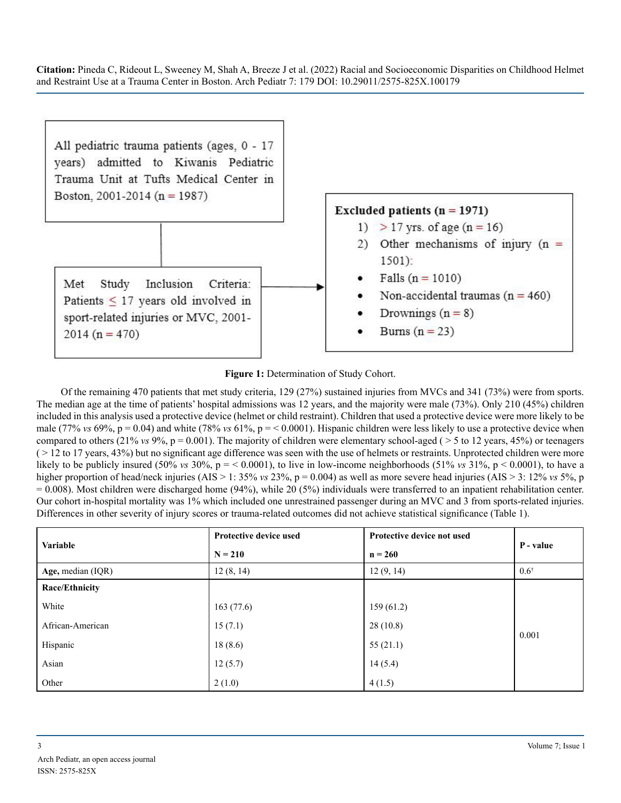

#### Figure 1: Determination of Study Cohort.

Of the remaining 470 patients that met study criteria, 129 (27%) sustained injuries from MVCs and 341 (73%) were from sports. The median age at the time of patients' hospital admissions was 12 years, and the majority were male (73%). Only 210 (45%) children included in this analysis used a protective device (helmet or child restraint). Children that used a protective device were more likely to be male (77% *vs* 69%, p = 0.04) and white (78% *vs* 61%, p = < 0.0001). Hispanic children were less likely to use a protective device when compared to others (21% *vs* 9%,  $p = 0.001$ ). The majority of children were elementary school-aged ( $> 5$  to 12 years, 45%) or teenagers  $($  > 12 to 17 years, 43%) but no significant age difference was seen with the use of helmets or restraints. Unprotected children were more likely to be publicly insured  $(50\% \text{ vs } 30\%), p = 0.0001$ , to live in low-income neighborhoods  $(51\% \text{ vs } 31\%), p < 0.0001$ , to have a higher proportion of head/neck injuries (AIS > 1: 35% *vs* 23%, p = 0.004) as well as more severe head injuries (AIS > 3: 12% *vs* 5%, p  $= 0.008$ ). Most children were discharged home (94%), while 20 (5%) individuals were transferred to an inpatient rehabilitation center. Our cohort in-hospital mortality was 1% which included one unrestrained passenger during an MVC and 3 from sports-related injuries. Differences in other severity of injury scores or trauma-related outcomes did not achieve statistical significance (Table 1).

| <b>Variable</b>     | <b>Protective device used</b> | Protective device not used | P - value       |  |
|---------------------|-------------------------------|----------------------------|-----------------|--|
|                     | $N = 210$                     | $n = 260$                  |                 |  |
| Age, median $(IQR)$ | 12(8, 14)                     | 12(9, 14)                  | $0.6^{\dagger}$ |  |
| Race/Ethnicity      |                               |                            |                 |  |
| White               | 163(77.6)                     | 159(61.2)                  |                 |  |
| African-American    | 15(7.1)                       | 28(10.8)                   | 0.001           |  |
| Hispanic            | 18(8.6)                       | 55(21.1)                   |                 |  |
| Asian               | 12(5.7)                       | 14(5.4)                    |                 |  |
| Other               | 2(1.0)                        | 4(1.5)                     |                 |  |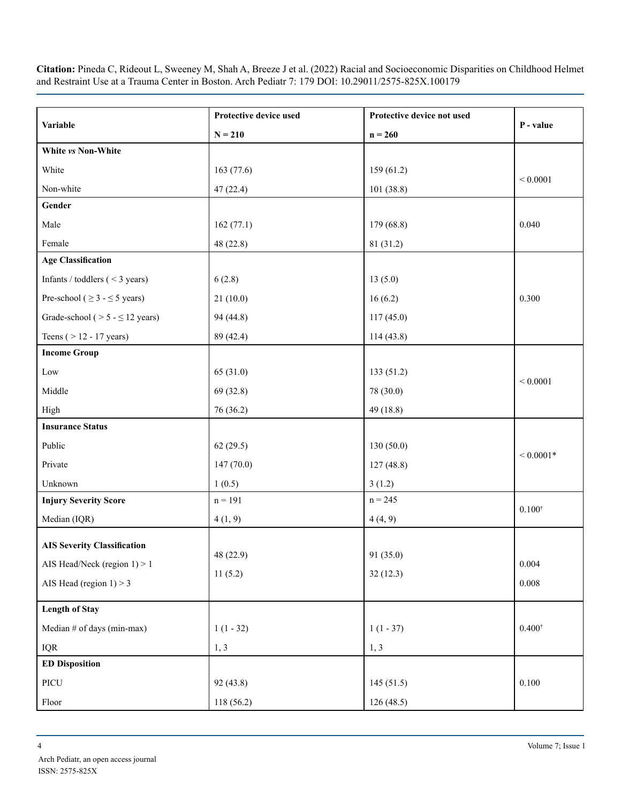|                                          | Protective device used | Protective device not used |                   |
|------------------------------------------|------------------------|----------------------------|-------------------|
| Variable                                 | $N = 210$              | $n = 260$                  | P - value         |
| White vs Non-White                       |                        |                            |                   |
| White                                    | 163 (77.6)             | 159(61.2)                  |                   |
| Non-white                                | 47(22.4)               | 101(38.8)                  | ${}< 0.0001$      |
| Gender                                   |                        |                            |                   |
| Male                                     | 162(77.1)              | 179 (68.8)                 | 0.040             |
| Female                                   | 48 (22.8)              | 81 (31.2)                  |                   |
| <b>Age Classification</b>                |                        |                            |                   |
| Infants / toddlers $(< 3 \text{ years})$ | 6(2.8)                 | 13(5.0)                    |                   |
| Pre-school ( $\geq$ 3 - $\leq$ 5 years)  | 21(10.0)               | 16(6.2)                    | 0.300             |
| Grade-school ( $> 5 - \le 12$ years)     | 94 (44.8)              | 117(45.0)                  |                   |
| Teens $($ > 12 - 17 years)               | 89 (42.4)              | 114(43.8)                  |                   |
| <b>Income Group</b>                      |                        |                            |                   |
| Low                                      | 65 (31.0)              | 133(51.2)                  |                   |
| Middle                                   | 69(32.8)               | 78 (30.0)                  | ${}< 0.0001$      |
| High                                     | 76 (36.2)              | 49 (18.8)                  |                   |
| <b>Insurance Status</b>                  |                        |                            |                   |
| Public                                   | 62(29.5)               | 130(50.0)                  |                   |
| Private                                  | 147(70.0)              | 127(48.8)                  | ${}< 0.0001*$     |
| Unknown                                  | 1(0.5)                 | 3(1.2)                     |                   |
| <b>Injury Severity Score</b>             | $n = 191$              | $n = 245$                  |                   |
| Median (IQR)                             | 4(1, 9)                | 4(4, 9)                    | $0.100^{\dagger}$ |
| <b>AIS Severity Classification</b>       |                        |                            |                   |
| AIS Head/Neck (region $1$ ) > 1          | 48 (22.9)              | 91 (35.0)                  | 0.004             |
|                                          | 11(5.2)                | 32(12.3)                   |                   |
| AIS Head (region $1$ ) > 3               |                        |                            | 0.008             |
| <b>Length of Stay</b>                    |                        |                            |                   |
| Median # of days (min-max)               | $1(1 - 32)$            | $1(1 - 37)$                | $0.400^{\dagger}$ |
| <b>IQR</b>                               | 1, 3                   | 1, 3                       |                   |
| <b>ED Disposition</b>                    |                        |                            |                   |
| PICU                                     | 92 (43.8)              | 145(51.5)                  | 0.100             |
| Floor                                    | 118 (56.2)             | 126(48.5)                  |                   |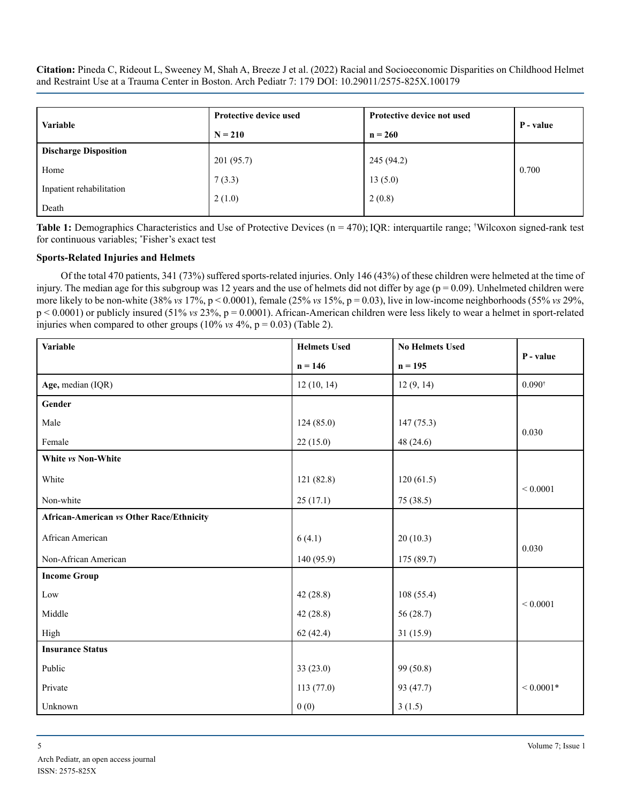| <b>Variable</b>              | <b>Protective device used</b> | Protective device not used | P - value |  |
|------------------------------|-------------------------------|----------------------------|-----------|--|
|                              | $N = 210$                     | $n = 260$                  |           |  |
| <b>Discharge Disposition</b> |                               |                            |           |  |
| Home                         | 201(95.7)                     | 245 (94.2)                 | 0.700     |  |
|                              | 7(3.3)                        | 13(5.0)                    |           |  |
| Inpatient rehabilitation     | 2(1.0)                        | 2(0.8)                     |           |  |
| Death                        |                               |                            |           |  |

Table 1: Demographics Characteristics and Use of Protective Devices (n = 470); IQR: interquartile range; <sup>†</sup>Wilcoxon signed-rank test for continuous variables; \* Fisher's exact test

#### **Sports-Related Injuries and Helmets**

Of the total 470 patients, 341 (73%) suffered sports-related injuries. Only 146 (43%) of these children were helmeted at the time of injury. The median age for this subgroup was 12 years and the use of helmets did not differ by age ( $p = 0.09$ ). Unhelmeted children were more likely to be non-white (38% *vs* 17%, p < 0.0001), female (25% *vs* 15%, p = 0.03), live in low-income neighborhoods (55% *vs* 29%, p < 0.0001) or publicly insured (51% *vs* 23%, p = 0.0001). African-American children were less likely to wear a helmet in sport-related injuries when compared to other groups  $(10\% \text{ vs } 4\%, \text{ p} = 0.03)$  (Table 2).

| <b>Variable</b>                                 | <b>Helmets Used</b> | <b>No Helmets Used</b> | P - value         |
|-------------------------------------------------|---------------------|------------------------|-------------------|
|                                                 | $n = 146$           | $n = 195$              |                   |
| Age, median (IQR)                               | 12(10, 14)          | 12(9, 14)              | $0.090^{\dagger}$ |
| Gender                                          |                     |                        |                   |
| Male                                            | 124(85.0)           | 147(75.3)              |                   |
| Female                                          | 22(15.0)            | 48(24.6)               | 0.030             |
| White vs Non-White                              |                     |                        |                   |
| White                                           | 121(82.8)           | 120(61.5)              | ${}< 0.0001$      |
| Non-white                                       | 25(17.1)            | 75 (38.5)              |                   |
| <b>African-American vs Other Race/Ethnicity</b> |                     |                        |                   |
| African American                                | 6(4.1)              | 20(10.3)               | 0.030             |
| Non-African American                            | 140 (95.9)          | 175 (89.7)             |                   |
| <b>Income Group</b>                             |                     |                        |                   |
| Low                                             | 42(28.8)            | 108(55.4)              | ${}< 0.0001$      |
| Middle                                          | 42(28.8)            | 56(28.7)               |                   |
| High                                            | 62(42.4)            | 31(15.9)               |                   |
| <b>Insurance Status</b>                         |                     |                        |                   |
| Public                                          | 33(23.0)            | 99 (50.8)              |                   |
| Private                                         | 113(77.0)           | 93 (47.7)              | ${}< 0.0001*$     |
| Unknown                                         | 0(0)                | 3(1.5)                 |                   |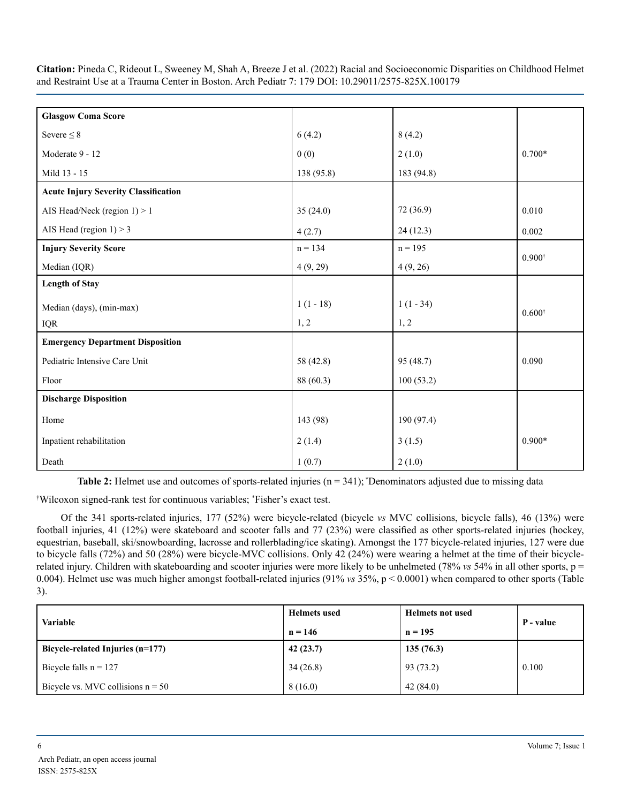| <b>Glasgow Coma Score</b>                   |             |             |                   |
|---------------------------------------------|-------------|-------------|-------------------|
| Severe $\leq 8$                             | 6(4.2)      | 8(4.2)      |                   |
| Moderate 9 - 12                             | 0(0)        | 2(1.0)      | $0.700*$          |
| Mild 13 - 15                                | 138 (95.8)  | 183 (94.8)  |                   |
| <b>Acute Injury Severity Classification</b> |             |             |                   |
| AIS Head/Neck (region $1$ ) > 1             | 35(24.0)    | 72 (36.9)   | 0.010             |
| AIS Head (region $1$ ) > 3                  | 4(2.7)      | 24(12.3)    | 0.002             |
| <b>Injury Severity Score</b>                | $n = 134$   | $n = 195$   |                   |
| Median (IQR)                                | 4(9, 29)    | 4(9, 26)    | $0.900^{\dagger}$ |
| <b>Length of Stay</b>                       |             |             |                   |
| Median (days), (min-max)                    | $1(1 - 18)$ | $1(1 - 34)$ | $0.600*$          |
| <b>IQR</b>                                  | 1, 2        | 1, 2        |                   |
| <b>Emergency Department Disposition</b>     |             |             |                   |
| Pediatric Intensive Care Unit               | 58 (42.8)   | 95 (48.7)   | 0.090             |
| Floor                                       | 88 (60.3)   | 100(53.2)   |                   |
| <b>Discharge Disposition</b>                |             |             |                   |
| Home                                        | 143 (98)    | 190 (97.4)  |                   |
| Inpatient rehabilitation                    | 2(1.4)      | 3(1.5)      | $0.900*$          |
| Death                                       | 1(0.7)      | 2(1.0)      |                   |

**Table 2:** Helmet use and outcomes of sports-related injuries (n = 341); \*Denominators adjusted due to missing data

† Wilcoxon signed-rank test for continuous variables; \* Fisher's exact test.

Of the 341 sports-related injuries, 177 (52%) were bicycle-related (bicycle *vs* MVC collisions, bicycle falls), 46 (13%) were football injuries, 41 (12%) were skateboard and scooter falls and 77 (23%) were classified as other sports-related injuries (hockey, equestrian, baseball, ski/snowboarding, lacrosse and rollerblading/ice skating). Amongst the 177 bicycle-related injuries, 127 were due to bicycle falls (72%) and 50 (28%) were bicycle-MVC collisions. Only 42 (24%) were wearing a helmet at the time of their bicyclerelated injury. Children with skateboarding and scooter injuries were more likely to be unhelmeted (78%  $v_s$  54% in all other sports,  $p =$ 0.004). Helmet use was much higher amongst football-related injuries (91% *vs* 35%, p < 0.0001) when compared to other sports (Table 3).

| <b>Variable</b>                     | <b>Helmets</b> used | <b>Helmets not used</b> | P - value |
|-------------------------------------|---------------------|-------------------------|-----------|
|                                     | $n = 146$           | $n = 195$               |           |
| Bicycle-related Injuries $(n=177)$  | 42(23.7)            | 135(76.3)               |           |
| Bicycle falls $n = 127$             | 34(26.8)            | 93 (73.2)               | 0.100     |
| Bicycle vs. MVC collisions $n = 50$ | 8(16.0)             | 42(84.0)                |           |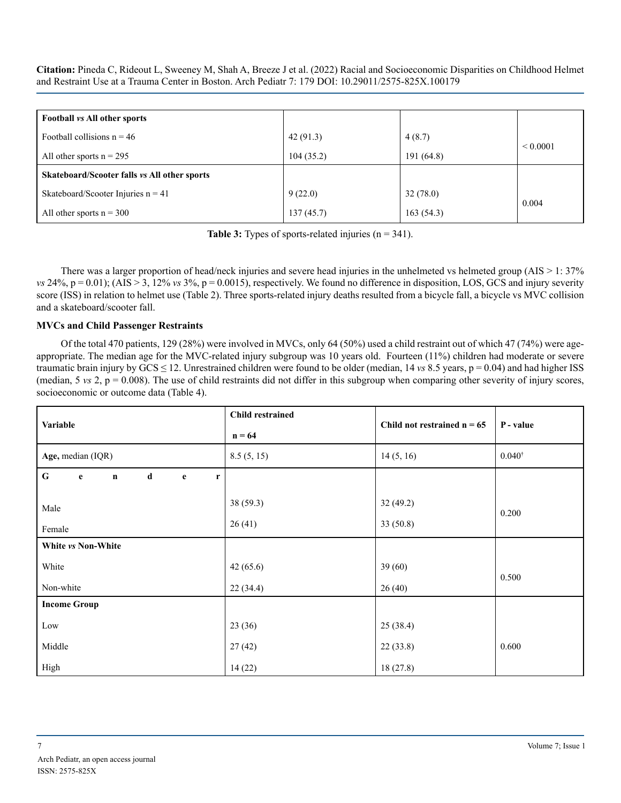| Football vs All other sports                 |           |            |              |
|----------------------------------------------|-----------|------------|--------------|
| Football collisions $n = 46$                 | 42(91.3)  | 4(8.7)     |              |
| All other sports $n = 295$                   | 104(35.2) | 191 (64.8) | ${}< 0.0001$ |
| Skateboard/Scooter falls vs All other sports |           |            |              |
| Skateboard/Scooter Injuries $n = 41$         | 9(22.0)   | 32(78.0)   |              |
| All other sports $n = 300$                   | 137(45.7) | 163(54.3)  | 0.004        |

**Table 3:** Types of sports-related injuries (n = 341).

There was a larger proportion of head/neck injuries and severe head injuries in the unhelmeted vs helmeted group (AIS > 1: 37%  $$ score (ISS) in relation to helmet use (Table 2). Three sports-related injury deaths resulted from a bicycle fall, a bicycle vs MVC collision and a skateboard/scooter fall.

#### **MVCs and Child Passenger Restraints**

Of the total 470 patients, 129 (28%) were involved in MVCs, only 64 (50%) used a child restraint out of which 47 (74%) were ageappropriate. The median age for the MVC-related injury subgroup was 10 years old. Fourteen (11%) children had moderate or severe traumatic brain injury by GCS ≤ 12. Unrestrained children were found to be older (median, 14 *vs* 8.5 years, p = 0.04) and had higher ISS (median,  $5 \text{ vs } 2$ ,  $p = 0.008$ ). The use of child restraints did not differ in this subgroup when comparing other severity of injury scores, socioeconomic or outcome data (Table 4).

| Variable                                                           | <b>Child restrained</b> | Child not restrained $n = 65$ | P - value |  |
|--------------------------------------------------------------------|-------------------------|-------------------------------|-----------|--|
|                                                                    | $n = 64$                |                               |           |  |
| Age, median (IQR)                                                  | 8.5(5, 15)              | 14(5, 16)                     | $0.040*$  |  |
| ${\bf G}$<br>d<br>$\mathbf{e}$<br>$\mathbf{e}$<br>$\mathbf n$<br>r |                         |                               |           |  |
| Male                                                               | 38 (59.3)               | 32(49.2)                      | 0.200     |  |
| Female                                                             | 26(41)                  | 33(50.8)                      |           |  |
| White vs Non-White                                                 |                         |                               |           |  |
| White                                                              | 42(65.6)                | 39(60)                        | 0.500     |  |
| Non-white                                                          | 22(34.4)                | 26(40)                        |           |  |
| <b>Income Group</b>                                                |                         |                               |           |  |
| Low                                                                | 23(36)                  | 25 (38.4)                     |           |  |
| Middle                                                             | 27(42)                  | 22(33.8)                      | 0.600     |  |
| High                                                               | 14(22)                  | 18(27.8)                      |           |  |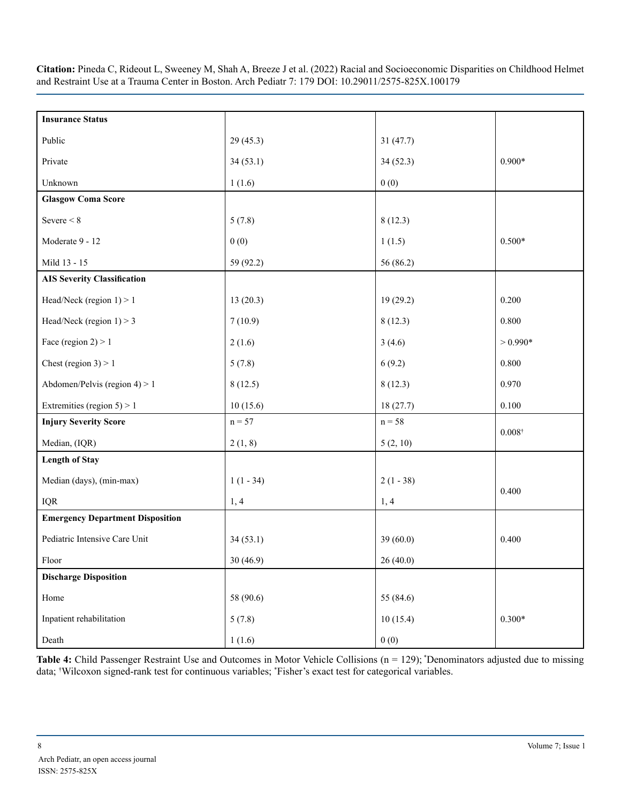| <b>Insurance Status</b>                 |             |             |                 |
|-----------------------------------------|-------------|-------------|-----------------|
|                                         |             |             |                 |
| Public                                  | 29(45.3)    | 31(47.7)    |                 |
| Private                                 | 34(53.1)    | 34(52.3)    | $0.900*$        |
| Unknown                                 | 1(1.6)      | 0(0)        |                 |
| <b>Glasgow Coma Score</b>               |             |             |                 |
| Severe $\leq 8$                         | 5(7.8)      | 8(12.3)     |                 |
| Moderate 9 - 12                         | 0(0)        | 1(1.5)      | $0.500*$        |
| Mild 13 - 15                            | 59 (92.2)   | 56 (86.2)   |                 |
| <b>AIS Severity Classification</b>      |             |             |                 |
| Head/Neck (region $1$ ) > 1             | 13(20.3)    | 19 (29.2)   | 0.200           |
| Head/Neck (region $1$ ) > 3             | 7(10.9)     | 8(12.3)     | 0.800           |
| Face (region $2$ ) > 1                  | 2(1.6)      | 3(4.6)      | $> 0.990*$      |
| Chest (region $3$ ) > 1                 | 5(7.8)      | 6(9.2)      | 0.800           |
| Abdomen/Pelvis (region $4$ ) > 1        | 8(12.5)     | 8(12.3)     | 0.970           |
| Extremities (region $5$ ) > 1           | 10(15.6)    | 18(27.7)    | 0.100           |
| <b>Injury Severity Score</b>            | $n = 57$    | $n = 58$    |                 |
| Median, (IQR)                           | 2(1, 8)     | 5(2, 10)    | $0.008^\dagger$ |
| <b>Length of Stay</b>                   |             |             |                 |
| Median (days), (min-max)                | $1(1 - 34)$ | $2(1 - 38)$ | 0.400           |
| <b>IQR</b>                              | 1, 4        | 1, 4        |                 |
| <b>Emergency Department Disposition</b> |             |             |                 |
| Pediatric Intensive Care Unit           | 34(53.1)    | 39(60.0)    | 0.400           |
| Floor                                   | 30(46.9)    | 26(40.0)    |                 |
| <b>Discharge Disposition</b>            |             |             |                 |
| Home                                    | 58 (90.6)   | 55 (84.6)   |                 |
| Inpatient rehabilitation                | 5(7.8)      | 10(15.4)    | $0.300*$        |
| Death                                   | 1(1.6)      | 0(0)        |                 |

Table 4: Child Passenger Restraint Use and Outcomes in Motor Vehicle Collisions (n = 129); \*Denominators adjusted due to missing data; † Wilcoxon signed-rank test for continuous variables; \* Fisher's exact test for categorical variables.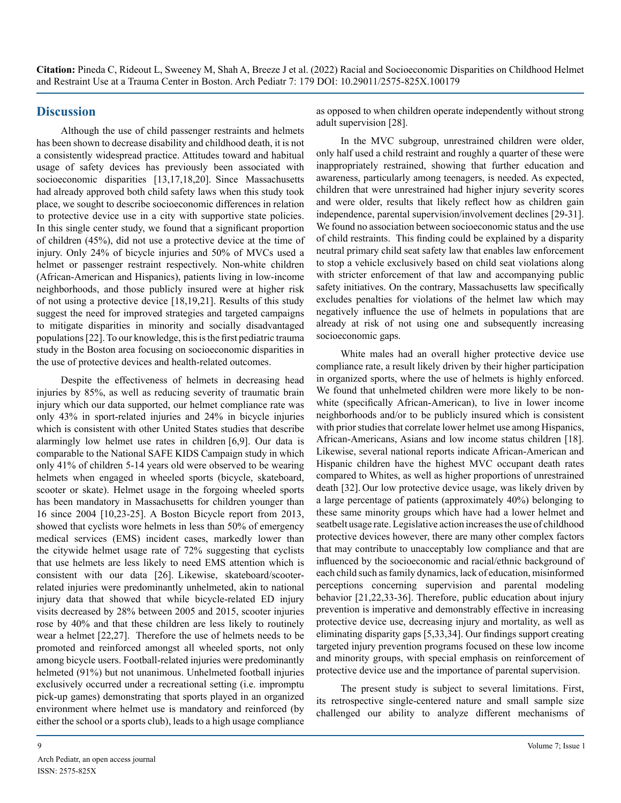#### **Discussion**

Although the use of child passenger restraints and helmets has been shown to decrease disability and childhood death, it is not a consistently widespread practice. Attitudes toward and habitual usage of safety devices has previously been associated with socioeconomic disparities [13,17,18,20]. Since Massachusetts had already approved both child safety laws when this study took place, we sought to describe socioeconomic differences in relation to protective device use in a city with supportive state policies. In this single center study, we found that a significant proportion of children (45%), did not use a protective device at the time of injury. Only 24% of bicycle injuries and 50% of MVCs used a helmet or passenger restraint respectively. Non-white children (African-American and Hispanics), patients living in low-income neighborhoods, and those publicly insured were at higher risk of not using a protective device [18,19,21]. Results of this study suggest the need for improved strategies and targeted campaigns to mitigate disparities in minority and socially disadvantaged populations [22]. To our knowledge, this is the first pediatric trauma study in the Boston area focusing on socioeconomic disparities in the use of protective devices and health-related outcomes.

Despite the effectiveness of helmets in decreasing head injuries by 85%, as well as reducing severity of traumatic brain injury which our data supported, our helmet compliance rate was only 43% in sport-related injuries and 24% in bicycle injuries which is consistent with other United States studies that describe alarmingly low helmet use rates in children [6,9]. Our data is comparable to the National SAFE KIDS Campaign study in which only 41% of children 5-14 years old were observed to be wearing helmets when engaged in wheeled sports (bicycle, skateboard, scooter or skate). Helmet usage in the forgoing wheeled sports has been mandatory in Massachusetts for children younger than 16 since 2004 [10,23-25]. A Boston Bicycle report from 2013, showed that cyclists wore helmets in less than 50% of emergency medical services (EMS) incident cases, markedly lower than the citywide helmet usage rate of 72% suggesting that cyclists that use helmets are less likely to need EMS attention which is consistent with our data [26]. Likewise, skateboard/scooterrelated injuries were predominantly unhelmeted, akin to national injury data that showed that while bicycle-related ED injury visits decreased by 28% between 2005 and 2015, scooter injuries rose by 40% and that these children are less likely to routinely wear a helmet [22,27]. Therefore the use of helmets needs to be promoted and reinforced amongst all wheeled sports, not only among bicycle users. Football-related injuries were predominantly helmeted (91%) but not unanimous. Unhelmeted football injuries exclusively occurred under a recreational setting (i.e. impromptu pick-up games) demonstrating that sports played in an organized environment where helmet use is mandatory and reinforced (by either the school or a sports club), leads to a high usage compliance

as opposed to when children operate independently without strong adult supervision [28].

In the MVC subgroup, unrestrained children were older, only half used a child restraint and roughly a quarter of these were inappropriately restrained, showing that further education and awareness, particularly among teenagers, is needed. As expected, children that were unrestrained had higher injury severity scores and were older, results that likely reflect how as children gain independence, parental supervision/involvement declines [29-31]. We found no association between socioeconomic status and the use of child restraints. This finding could be explained by a disparity neutral primary child seat safety law that enables law enforcement to stop a vehicle exclusively based on child seat violations along with stricter enforcement of that law and accompanying public safety initiatives. On the contrary, Massachusetts law specifically excludes penalties for violations of the helmet law which may negatively influence the use of helmets in populations that are already at risk of not using one and subsequently increasing socioeconomic gaps.

White males had an overall higher protective device use compliance rate, a result likely driven by their higher participation in organized sports, where the use of helmets is highly enforced. We found that unhelmeted children were more likely to be nonwhite (specifically African-American), to live in lower income neighborhoods and/or to be publicly insured which is consistent with prior studies that correlate lower helmet use among Hispanics, African-Americans, Asians and low income status children [18]. Likewise, several national reports indicate African-American and Hispanic children have the highest MVC occupant death rates compared to Whites, as well as higher proportions of unrestrained death [32]. Our low protective device usage, was likely driven by a large percentage of patients (approximately 40%) belonging to these same minority groups which have had a lower helmet and seatbelt usage rate. Legislative action increases the use of childhood protective devices however, there are many other complex factors that may contribute to unacceptably low compliance and that are influenced by the socioeconomic and racial/ethnic background of each child such as family dynamics, lack of education, misinformed perceptions concerning supervision and parental modeling behavior [21,22,33-36]. Therefore, public education about injury prevention is imperative and demonstrably effective in increasing protective device use, decreasing injury and mortality, as well as eliminating disparity gaps [5,33,34]. Our findings support creating targeted injury prevention programs focused on these low income and minority groups, with special emphasis on reinforcement of protective device use and the importance of parental supervision.

The present study is subject to several limitations. First, its retrospective single-centered nature and small sample size challenged our ability to analyze different mechanisms of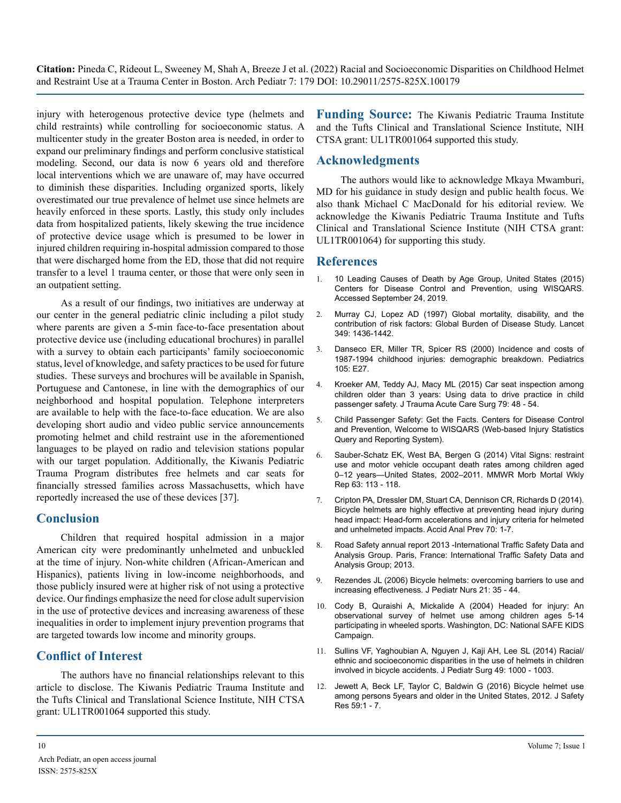injury with heterogenous protective device type (helmets and child restraints) while controlling for socioeconomic status. A multicenter study in the greater Boston area is needed, in order to expand our preliminary findings and perform conclusive statistical modeling. Second, our data is now 6 years old and therefore local interventions which we are unaware of, may have occurred to diminish these disparities. Including organized sports, likely overestimated our true prevalence of helmet use since helmets are heavily enforced in these sports. Lastly, this study only includes data from hospitalized patients, likely skewing the true incidence of protective device usage which is presumed to be lower in injured children requiring in-hospital admission compared to those that were discharged home from the ED, those that did not require transfer to a level 1 trauma center, or those that were only seen in an outpatient setting.

As a result of our findings, two initiatives are underway at our center in the general pediatric clinic including a pilot study where parents are given a 5-min face-to-face presentation about protective device use (including educational brochures) in parallel with a survey to obtain each participants' family socioeconomic status, level of knowledge, and safety practices to be used for future studies. These surveys and brochures will be available in Spanish, Portuguese and Cantonese, in line with the demographics of our neighborhood and hospital population. Telephone interpreters are available to help with the face-to-face education. We are also developing short audio and video public service announcements promoting helmet and child restraint use in the aforementioned languages to be played on radio and television stations popular with our target population. Additionally, the Kiwanis Pediatric Trauma Program distributes free helmets and car seats for financially stressed families across Massachusetts, which have reportedly increased the use of these devices [37].

#### **Conclusion**

Children that required hospital admission in a major American city were predominantly unhelmeted and unbuckled at the time of injury. Non-white children (African-American and Hispanics), patients living in low-income neighborhoods, and those publicly insured were at higher risk of not using a protective device. Our findings emphasize the need for close adult supervision in the use of protective devices and increasing awareness of these inequalities in order to implement injury prevention programs that are targeted towards low income and minority groups.

## **Conflict of Interest**

The authors have no financial relationships relevant to this article to disclose. The Kiwanis Pediatric Trauma Institute and the Tufts Clinical and Translational Science Institute, NIH CTSA grant: UL1TR001064 supported this study.

**Funding Source:** The Kiwanis Pediatric Trauma Institute and the Tufts Clinical and Translational Science Institute, NIH CTSA grant: UL1TR001064 supported this study.

## **Acknowledgments**

The authors would like to acknowledge Mkaya Mwamburi, MD for his guidance in study design and public health focus. We also thank Michael C MacDonald for his editorial review. We acknowledge the Kiwanis Pediatric Trauma Institute and Tufts Clinical and Translational Science Institute (NIH CTSA grant: UL1TR001064) for supporting this study.

## **References**

- 1. [10 Leading Causes of Death by Age Group, United States \(2015\)](https://www.cdc.gov/injury/wisqars/pdf/leading_causes_of_death_by_age_group_2015-a.pdf)  [Centers for Disease Control and Prevention, using WISQARS.](https://www.cdc.gov/injury/wisqars/pdf/leading_causes_of_death_by_age_group_2015-a.pdf) [Accessed September 24, 2019.](https://www.cdc.gov/injury/wisqars/pdf/leading_causes_of_death_by_age_group_2015-a.pdf)
- 2. [Murray CJ, Lopez AD \(1997\) Global mortality, disability, and the](https://pubmed.ncbi.nlm.nih.gov/9164317/)  [contribution of risk factors: Global Burden of Disease Study. Lancet](https://pubmed.ncbi.nlm.nih.gov/9164317/) [349: 1436-1442.](https://pubmed.ncbi.nlm.nih.gov/9164317/)
- 3. [Danseco ER, Miller TR, Spicer RS \(2000\) Incidence and costs of](https://pubmed.ncbi.nlm.nih.gov/10654987/) [1987-1994 childhood injuries: demographic breakdown. Pediatrics](https://pubmed.ncbi.nlm.nih.gov/10654987/)  [105: E27.](https://pubmed.ncbi.nlm.nih.gov/10654987/)
- 4. [Kroeker AM, Teddy AJ, Macy ML \(2015\) Car seat inspection among](https://pubmed.ncbi.nlm.nih.gov/26308122/)  [children older than 3 years: Using data to drive practice in child](https://pubmed.ncbi.nlm.nih.gov/26308122/)  [passenger safety. J Trauma Acute Care Surg](https://pubmed.ncbi.nlm.nih.gov/26308122/) 79: 48 - 54.
- 5. [Child Passenger Safety: Get the Facts. Centers for Disease Control](https://www.cdc.gov/injury/wisqars/index.html)  [and Prevention, Welcome to WISQARS \(Web-based Injury Statistics](https://www.cdc.gov/injury/wisqars/index.html)  [Query and Reporting System\).](https://www.cdc.gov/injury/wisqars/index.html)
- 6. [Sauber-Schatz EK, West BA, Bergen G \(2014\) Vital Signs: restraint](https://pubmed.ncbi.nlm.nih.gov/24500292/)  [use and motor vehicle occupant death rates among children aged](https://pubmed.ncbi.nlm.nih.gov/24500292/)  [0–12 years—United States, 2002–2011. MMWR Morb Mortal Wkly](https://pubmed.ncbi.nlm.nih.gov/24500292/) Rep [63: 113 - 118.](https://pubmed.ncbi.nlm.nih.gov/24500292/)
- 7. [Cripton PA, Dressler DM, Stuart CA, Dennison CR, Richards D \(2014\).](https://pubmed.ncbi.nlm.nih.gov/24686160/)  [Bicycle helmets are highly effective at preventing head injury during](https://pubmed.ncbi.nlm.nih.gov/24686160/)  [head impact: Head-form accelerations and injury criteria for helmeted](https://pubmed.ncbi.nlm.nih.gov/24686160/)  [and unhelmeted impacts. Accid Anal Prev](https://pubmed.ncbi.nlm.nih.gov/24686160/) 70: 1-7.
- 8. [Road Safety annual report 2013 -International Traffic Safety Data and](http://www.internationaltransportforum.org/pub/pdf/13irtadreport.pdf)  [Analysis Group. Paris, France: International Traffic Safety Data and](http://www.internationaltransportforum.org/pub/pdf/13irtadreport.pdf)  [Analysis Group; 2013.](http://www.internationaltransportforum.org/pub/pdf/13irtadreport.pdf)
- 9. [Rezendes JL \(2006\) Bicycle helmets: overcoming barriers to use and](https://pubmed.ncbi.nlm.nih.gov/16428012/)  [increasing effectiveness. J Pediatr Nurs 21: 35 - 44.](https://pubmed.ncbi.nlm.nih.gov/16428012/)
- 10. Cody B, Quraishi A, Mickalide A (2004) Headed for injury: An observational survey of helmet use among children ages 5-14 participating in wheeled sports. Washington, DC: National SAFE KIDS Campaign.
- 11. [Sullins VF, Yaghoubian A, Nguyen J, Kaji AH, Lee SL \(2014\) Racial/](https://pubmed.ncbi.nlm.nih.gov/24888851/) [ethnic and socioeconomic disparities in the use of helmets in children](https://pubmed.ncbi.nlm.nih.gov/24888851/)  [involved in bicycle accidents. J Pediatr Surg 49: 1000 - 1003.](https://pubmed.ncbi.nlm.nih.gov/24888851/)
- 12. [Jewett A, Beck LF, Taylor C, Baldwin G \(2016\) Bicycle helmet use](https://pubmed.ncbi.nlm.nih.gov/27846992/) [among persons 5years and older in the United States, 2012. J Safety](https://pubmed.ncbi.nlm.nih.gov/27846992/)  [Res 59:1 - 7.](https://pubmed.ncbi.nlm.nih.gov/27846992/)